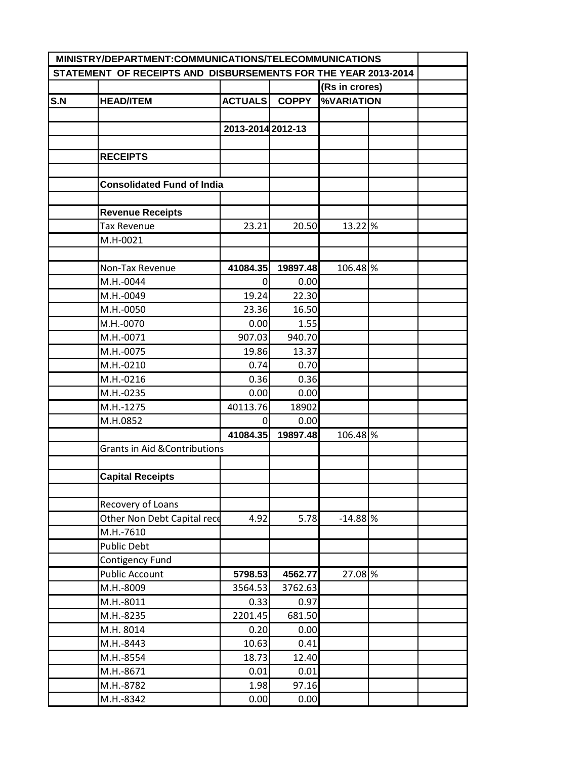| MINISTRY/DEPARTMENT:COMMUNICATIONS/TELECOMMUNICATIONS          |                                          |                   |              |                   |  |  |
|----------------------------------------------------------------|------------------------------------------|-------------------|--------------|-------------------|--|--|
| STATEMENT OF RECEIPTS AND DISBURSEMENTS FOR THE YEAR 2013-2014 |                                          |                   |              |                   |  |  |
|                                                                |                                          |                   |              | (Rs in crores)    |  |  |
| S.N                                                            | <b>HEAD/ITEM</b>                         | <b>ACTUALS</b>    | <b>COPPY</b> | <b>%VARIATION</b> |  |  |
|                                                                |                                          |                   |              |                   |  |  |
|                                                                |                                          | 2013-2014 2012-13 |              |                   |  |  |
|                                                                |                                          |                   |              |                   |  |  |
|                                                                | <b>RECEIPTS</b>                          |                   |              |                   |  |  |
|                                                                |                                          |                   |              |                   |  |  |
|                                                                | <b>Consolidated Fund of India</b>        |                   |              |                   |  |  |
|                                                                |                                          |                   |              |                   |  |  |
|                                                                | <b>Revenue Receipts</b>                  |                   |              |                   |  |  |
|                                                                | <b>Tax Revenue</b>                       | 23.21             | 20.50        | 13.22 %           |  |  |
|                                                                | M.H-0021                                 |                   |              |                   |  |  |
|                                                                |                                          |                   |              |                   |  |  |
|                                                                | Non-Tax Revenue                          | 41084.35          | 19897.48     | 106.48 %          |  |  |
|                                                                | M.H.-0044                                | 0                 | 0.00         |                   |  |  |
|                                                                | M.H.-0049                                | 19.24             | 22.30        |                   |  |  |
|                                                                | M.H.-0050                                | 23.36             | 16.50        |                   |  |  |
|                                                                | M.H.-0070                                | 0.00              | 1.55         |                   |  |  |
|                                                                | M.H.-0071                                | 907.03            | 940.70       |                   |  |  |
|                                                                | M.H.-0075                                | 19.86             | 13.37        |                   |  |  |
|                                                                | M.H.-0210                                | 0.74              | 0.70         |                   |  |  |
|                                                                | M.H.-0216                                | 0.36              | 0.36         |                   |  |  |
|                                                                | M.H.-0235                                | 0.00              | 0.00         |                   |  |  |
|                                                                | M.H.-1275                                | 40113.76          | 18902        |                   |  |  |
|                                                                | M.H.0852                                 | 0                 | 0.00         |                   |  |  |
|                                                                |                                          | 41084.35          | 19897.48     | 106.48 %          |  |  |
|                                                                | <b>Grants in Aid &amp; Contributions</b> |                   |              |                   |  |  |
|                                                                |                                          |                   |              |                   |  |  |
|                                                                | <b>Capital Receipts</b>                  |                   |              |                   |  |  |
|                                                                |                                          |                   |              |                   |  |  |
|                                                                | Recovery of Loans                        |                   |              |                   |  |  |
|                                                                | Other Non Debt Capital rece              | 4.92              | 5.78         | $-14.88$ %        |  |  |
|                                                                | M.H.-7610                                |                   |              |                   |  |  |
|                                                                | Public Debt                              |                   |              |                   |  |  |
|                                                                | Contigency Fund                          |                   |              |                   |  |  |
|                                                                | <b>Public Account</b>                    | 5798.53           | 4562.77      | 27.08 %           |  |  |
|                                                                | M.H.-8009                                | 3564.53           | 3762.63      |                   |  |  |
|                                                                | M.H.-8011                                | 0.33              | 0.97         |                   |  |  |
|                                                                | M.H.-8235                                | 2201.45           | 681.50       |                   |  |  |
|                                                                | M.H. 8014                                | 0.20              | 0.00         |                   |  |  |
|                                                                | M.H.-8443                                | 10.63             | 0.41         |                   |  |  |
|                                                                | M.H.-8554                                | 18.73             | 12.40        |                   |  |  |
|                                                                | M.H.-8671                                | 0.01              | 0.01         |                   |  |  |
|                                                                | M.H.-8782                                | 1.98              | 97.16        |                   |  |  |
|                                                                | M.H.-8342                                | 0.00              | 0.00         |                   |  |  |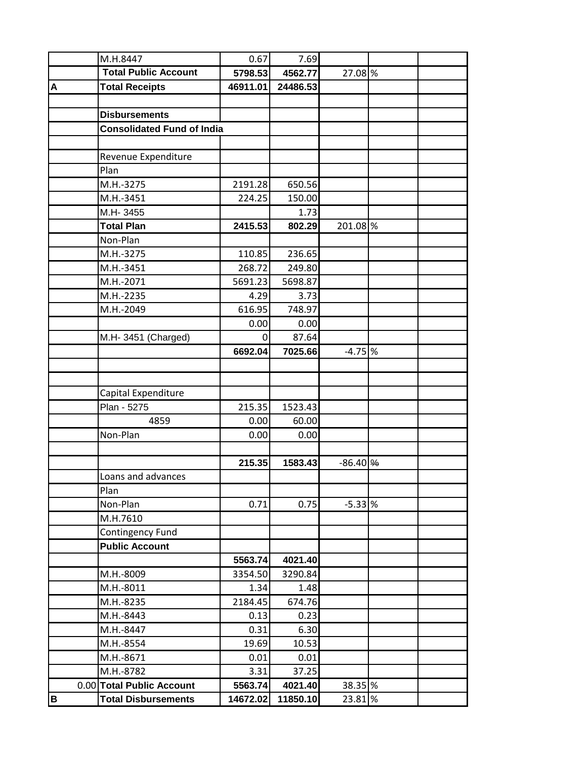|   | M.H.8447                          | 0.67     | 7.69     |                     |  |
|---|-----------------------------------|----------|----------|---------------------|--|
|   | <b>Total Public Account</b>       | 5798.53  | 4562.77  | 27.08 %             |  |
| A | <b>Total Receipts</b>             | 46911.01 | 24486.53 |                     |  |
|   |                                   |          |          |                     |  |
|   | <b>Disbursements</b>              |          |          |                     |  |
|   | <b>Consolidated Fund of India</b> |          |          |                     |  |
|   |                                   |          |          |                     |  |
|   | Revenue Expenditure               |          |          |                     |  |
|   | Plan                              |          |          |                     |  |
|   | M.H.-3275                         | 2191.28  | 650.56   |                     |  |
|   | M.H.-3451                         | 224.25   | 150.00   |                     |  |
|   | M.H-3455                          |          | 1.73     |                     |  |
|   | <b>Total Plan</b>                 | 2415.53  | 802.29   | 201.08 %            |  |
|   | Non-Plan                          |          |          |                     |  |
|   | M.H.-3275                         | 110.85   | 236.65   |                     |  |
|   | M.H.-3451                         | 268.72   | 249.80   |                     |  |
|   | M.H.-2071                         | 5691.23  | 5698.87  |                     |  |
|   | M.H.-2235                         | 4.29     | 3.73     |                     |  |
|   | M.H.-2049                         | 616.95   | 748.97   |                     |  |
|   |                                   | 0.00     | 0.00     |                     |  |
|   | M.H- 3451 (Charged)               | $\Omega$ | 87.64    |                     |  |
|   |                                   | 6692.04  | 7025.66  | $-4.75$ %           |  |
|   |                                   |          |          |                     |  |
|   |                                   |          |          |                     |  |
|   | Capital Expenditure               |          |          |                     |  |
|   | Plan - 5275                       | 215.35   | 1523.43  |                     |  |
|   | 4859                              | 0.00     | 60.00    |                     |  |
|   | Non-Plan                          | 0.00     | 0.00     |                     |  |
|   |                                   |          |          |                     |  |
|   |                                   | 215.35   | 1583.43  | $-86.40\frac{9}{6}$ |  |
|   | Loans and advances                |          |          |                     |  |
|   | Plan                              |          |          |                     |  |
|   | Non-Plan                          | 0.71     | 0.75     | $-5.33$ %           |  |
|   | M.H.7610                          |          |          |                     |  |
|   | Contingency Fund                  |          |          |                     |  |
|   | <b>Public Account</b>             |          |          |                     |  |
|   |                                   | 5563.74  | 4021.40  |                     |  |
|   | M.H.-8009                         | 3354.50  | 3290.84  |                     |  |
|   | M.H.-8011                         | 1.34     | 1.48     |                     |  |
|   | M.H.-8235                         | 2184.45  | 674.76   |                     |  |
|   | M.H.-8443                         | 0.13     | 0.23     |                     |  |
|   | M.H.-8447                         | 0.31     | 6.30     |                     |  |
|   | M.H.-8554                         | 19.69    | 10.53    |                     |  |
|   | M.H.-8671                         | 0.01     | 0.01     |                     |  |
|   | M.H.-8782                         | 3.31     | 37.25    |                     |  |
|   | 0.00 Total Public Account         | 5563.74  | 4021.40  | 38.35 %             |  |
| B | <b>Total Disbursements</b>        | 14672.02 | 11850.10 | 23.81 %             |  |